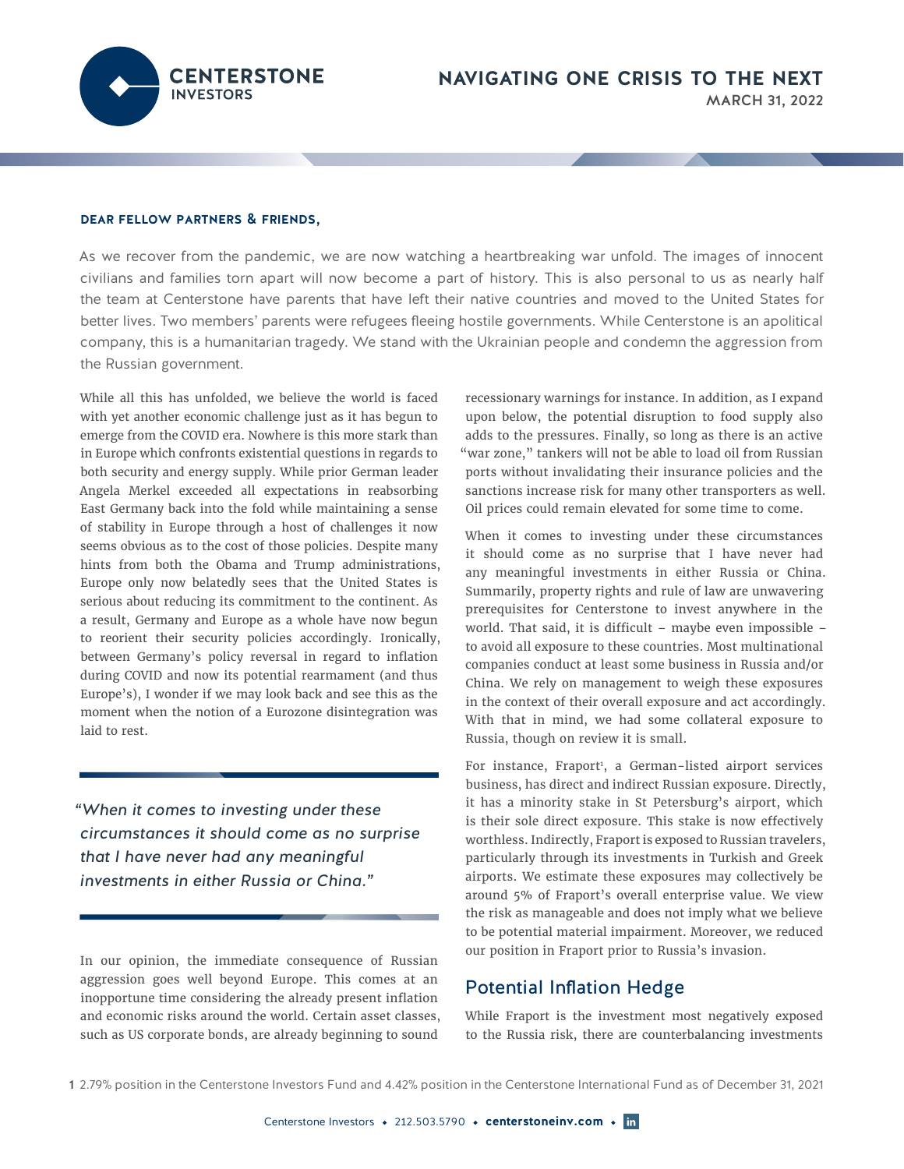**ENTERSTONE INVESTORS** 

## dear fellow partners & friends,

As we recover from the pandemic, we are now watching a heartbreaking war unfold. The images of innocent civilians and families torn apart will now become a part of history. This is also personal to us as nearly half the team at Centerstone have parents that have left their native countries and moved to the United States for better lives. Two members' parents were refugees fleeing hostile governments. While Centerstone is an apolitical company, this is a humanitarian tragedy. We stand with the Ukrainian people and condemn the aggression from the Russian government.

While all this has unfolded, we believe the world is faced with yet another economic challenge just as it has begun to emerge from the COVID era. Nowhere is this more stark than in Europe which confronts existential questions in regards to both security and energy supply. While prior German leader Angela Merkel exceeded all expectations in reabsorbing East Germany back into the fold while maintaining a sense of stability in Europe through a host of challenges it now seems obvious as to the cost of those policies. Despite many hints from both the Obama and Trump administrations, Europe only now belatedly sees that the United States is serious about reducing its commitment to the continent. As a result, Germany and Europe as a whole have now begun to reorient their security policies accordingly. Ironically, between Germany's policy reversal in regard to inflation during COVID and now its potential rearmament (and thus Europe's), I wonder if we may look back and see this as the moment when the notion of a Eurozone disintegration was laid to rest.

*"When it comes to investing under these circumstances it should come as no surprise that I have never had any meaningful investments in either Russia or China."*

In our opinion, the immediate consequence of Russian aggression goes well beyond Europe. This comes at an inopportune time considering the already present inflation and economic risks around the world. Certain asset classes, such as US corporate bonds, are already beginning to sound

recessionary warnings for instance. In addition, as I expand upon below, the potential disruption to food supply also adds to the pressures. Finally, so long as there is an active "war zone," tankers will not be able to load oil from Russian ports without invalidating their insurance policies and the sanctions increase risk for many other transporters as well. Oil prices could remain elevated for some time to come.

When it comes to investing under these circumstances it should come as no surprise that I have never had any meaningful investments in either Russia or China. Summarily, property rights and rule of law are unwavering prerequisites for Centerstone to invest anywhere in the world. That said, it is difficult – maybe even impossible – to avoid all exposure to these countries. Most multinational companies conduct at least some business in Russia and/or China. We rely on management to weigh these exposures in the context of their overall exposure and act accordingly. With that in mind, we had some collateral exposure to Russia, though on review it is small.

For instance, Fraport<sup>1</sup>, a German-listed airport services business, has direct and indirect Russian exposure. Directly, it has a minority stake in St Petersburg's airport, which is their sole direct exposure. This stake is now effectively worthless. Indirectly, Fraport is exposed to Russian travelers, particularly through its investments in Turkish and Greek airports. We estimate these exposures may collectively be around 5% of Fraport's overall enterprise value. We view the risk as manageable and does not imply what we believe to be potential material impairment. Moreover, we reduced our position in Fraport prior to Russia's invasion.

## Potential Inflation Hedge

While Fraport is the investment most negatively exposed to the Russia risk, there are counterbalancing investments

<sup>1</sup> 2.79% position in the Centerstone Investors Fund and 4.42% position in the Centerstone International Fund as of December 31, 2021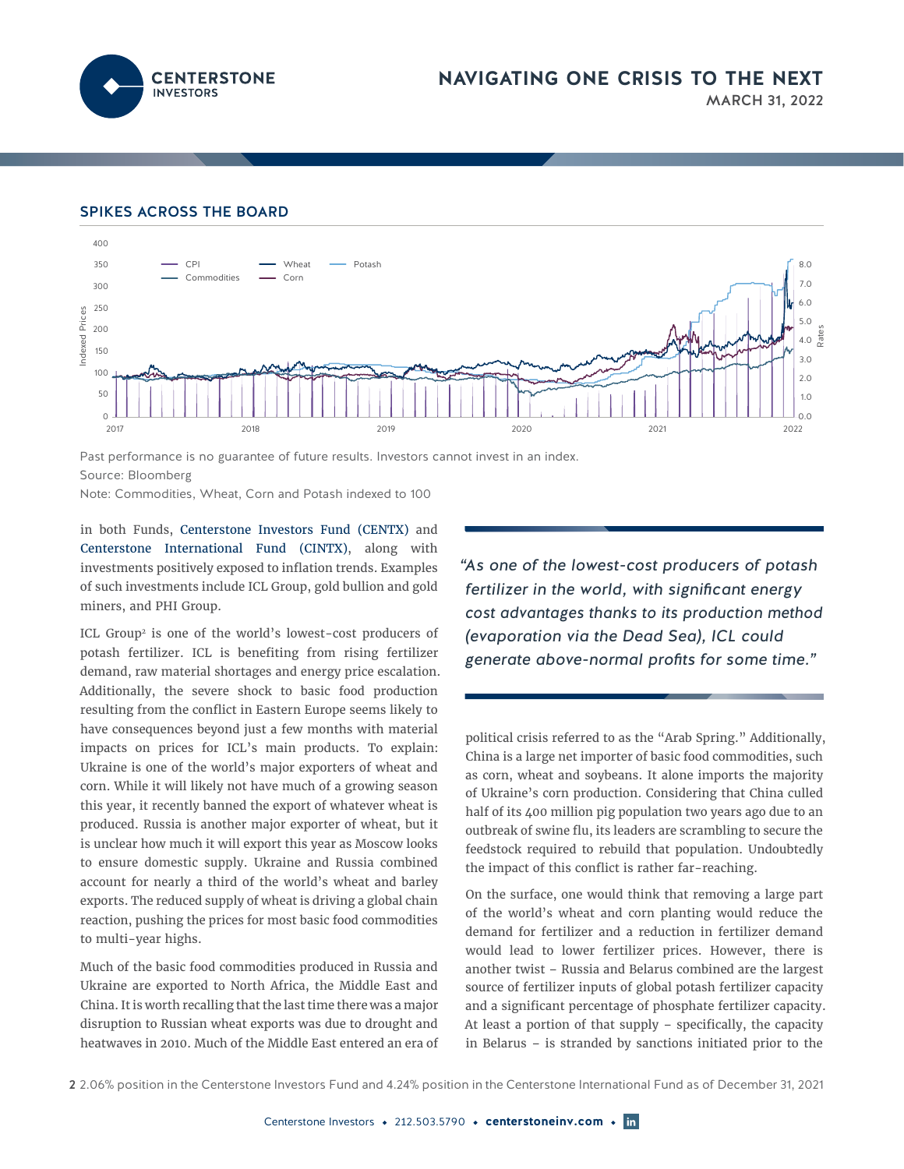

## SPIKES ACROSS THE BOARD



Past performance is no guarantee of future results. Investors cannot invest in an index. Source: Bloomberg

Note: Commodities, Wheat, Corn and Potash indexed to 100

in both Funds, Centerstone Investors Fund (CENTX) and Centerstone International Fund (CINTX), along with investments positively exposed to inflation trends. Examples of such investments include ICL Group, gold bullion and gold miners, and PHI Group.

ICL Group2 is one of the world's lowest-cost producers of potash fertilizer. ICL is benefiting from rising fertilizer demand, raw material shortages and energy price escalation. Additionally, the severe shock to basic food production resulting from the conflict in Eastern Europe seems likely to have consequences beyond just a few months with material impacts on prices for ICL's main products. To explain: Ukraine is one of the world's major exporters of wheat and corn. While it will likely not have much of a growing season this year, it recently banned the export of whatever wheat is produced. Russia is another major exporter of wheat, but it is unclear how much it will export this year as Moscow looks to ensure domestic supply. Ukraine and Russia combined account for nearly a third of the world's wheat and barley exports. The reduced supply of wheat is driving a global chain reaction, pushing the prices for most basic food commodities to multi-year highs.

Much of the basic food commodities produced in Russia and Ukraine are exported to North Africa, the Middle East and China. It is worth recalling that the last time there was a major disruption to Russian wheat exports was due to drought and heatwaves in 2010. Much of the Middle East entered an era of *"As one of the lowest-cost producers of potash fertilizer in the world, with significant energy cost advantages thanks to its production method (evaporation via the Dead Sea), ICL could generate above-normal profits for some time."*

political crisis referred to as the "Arab Spring." Additionally, China is a large net importer of basic food commodities, such as corn, wheat and soybeans. It alone imports the majority of Ukraine's corn production. Considering that China culled half of its 400 million pig population two years ago due to an outbreak of swine flu, its leaders are scrambling to secure the feedstock required to rebuild that population. Undoubtedly the impact of this conflict is rather far-reaching.

On the surface, one would think that removing a large part of the world's wheat and corn planting would reduce the demand for fertilizer and a reduction in fertilizer demand would lead to lower fertilizer prices. However, there is another twist – Russia and Belarus combined are the largest source of fertilizer inputs of global potash fertilizer capacity and a significant percentage of phosphate fertilizer capacity. At least a portion of that supply – specifically, the capacity in Belarus – is stranded by sanctions initiated prior to the

2 2.06% position in the Centerstone Investors Fund and 4.24% position in the Centerstone International Fund as of December 31, 2021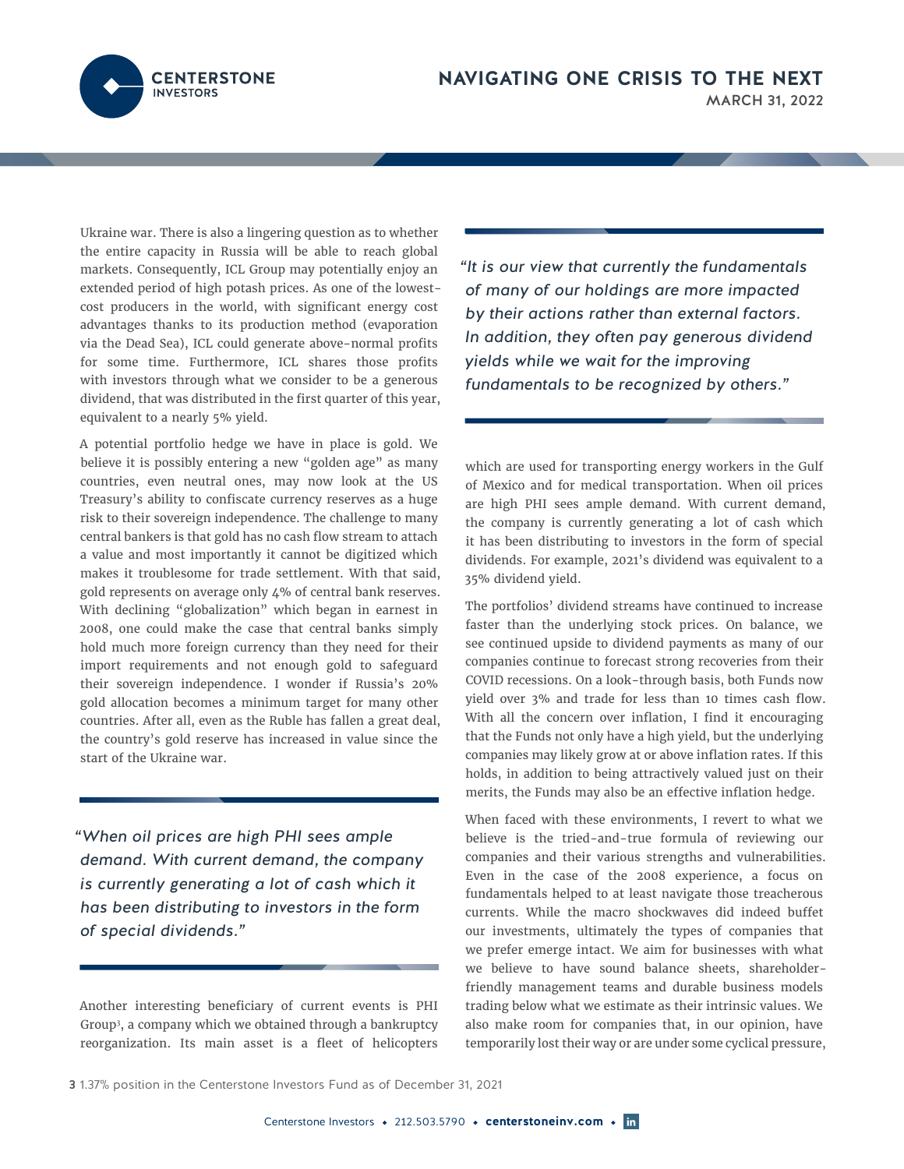

Ukraine war. There is also a lingering question as to whether the entire capacity in Russia will be able to reach global markets. Consequently, ICL Group may potentially enjoy an extended period of high potash prices. As one of the lowestcost producers in the world, with significant energy cost advantages thanks to its production method (evaporation via the Dead Sea), ICL could generate above-normal profits for some time. Furthermore, ICL shares those profits with investors through what we consider to be a generous dividend, that was distributed in the first quarter of this year, equivalent to a nearly 5% yield.

A potential portfolio hedge we have in place is gold. We believe it is possibly entering a new "golden age" as many countries, even neutral ones, may now look at the US Treasury's ability to confiscate currency reserves as a huge risk to their sovereign independence. The challenge to many central bankers is that gold has no cash flow stream to attach a value and most importantly it cannot be digitized which makes it troublesome for trade settlement. With that said, gold represents on average only 4% of central bank reserves. With declining "globalization" which began in earnest in 2008, one could make the case that central banks simply hold much more foreign currency than they need for their import requirements and not enough gold to safeguard their sovereign independence. I wonder if Russia's 20% gold allocation becomes a minimum target for many other countries. After all, even as the Ruble has fallen a great deal, the country's gold reserve has increased in value since the start of the Ukraine war.

*"When oil prices are high PHI sees ample demand. With current demand, the company is currently generating a lot of cash which it has been distributing to investors in the form of special dividends."*

Another interesting beneficiary of current events is PHI Group3 , a company which we obtained through a bankruptcy reorganization. Its main asset is a fleet of helicopters

*"It is our view that currently the fundamentals of many of our holdings are more impacted by their actions rather than external factors. In addition, they often pay generous dividend yields while we wait for the improving fundamentals to be recognized by others."*

which are used for transporting energy workers in the Gulf of Mexico and for medical transportation. When oil prices are high PHI sees ample demand. With current demand, the company is currently generating a lot of cash which it has been distributing to investors in the form of special dividends. For example, 2021's dividend was equivalent to a 35% dividend yield.

The portfolios' dividend streams have continued to increase faster than the underlying stock prices. On balance, we see continued upside to dividend payments as many of our companies continue to forecast strong recoveries from their COVID recessions. On a look-through basis, both Funds now yield over 3% and trade for less than 10 times cash flow. With all the concern over inflation, I find it encouraging that the Funds not only have a high yield, but the underlying companies may likely grow at or above inflation rates. If this holds, in addition to being attractively valued just on their merits, the Funds may also be an effective inflation hedge.

When faced with these environments, I revert to what we believe is the tried-and-true formula of reviewing our companies and their various strengths and vulnerabilities. Even in the case of the 2008 experience, a focus on fundamentals helped to at least navigate those treacherous currents. While the macro shockwaves did indeed buffet our investments, ultimately the types of companies that we prefer emerge intact. We aim for businesses with what we believe to have sound balance sheets, shareholderfriendly management teams and durable business models trading below what we estimate as their intrinsic values. We also make room for companies that, in our opinion, have temporarily lost their way or are under some cyclical pressure,